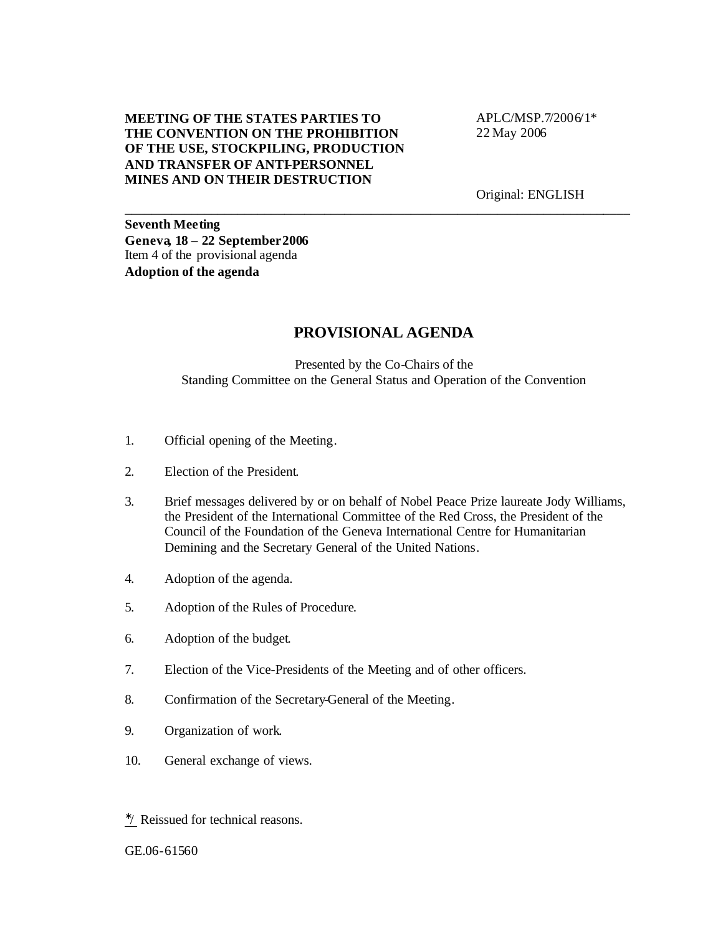## **MEETING OF THE STATES PARTIES TO THE CONVENTION ON THE PROHIBITION OF THE USE, STOCKPILING, PRODUCTION AND TRANSFER OF ANTI-PERSONNEL MINES AND ON THEIR DESTRUCTION**

APLC/MSP.7/2006/1\* 22 May 2006

Original: ENGLISH

**Seventh Meeting Geneva, 18 – 22 September2006** Item 4 of the provisional agenda **Adoption of the agenda**

## **PROVISIONAL AGENDA**

\_\_\_\_\_\_\_\_\_\_\_\_\_\_\_\_\_\_\_\_\_\_\_\_\_\_\_\_\_\_\_\_\_\_\_\_\_\_\_\_\_\_\_\_\_\_\_\_\_\_\_\_\_\_\_\_\_\_\_\_\_\_\_\_\_\_\_\_\_\_\_\_\_\_\_\_

Presented by the Co-Chairs of the Standing Committee on the General Status and Operation of the Convention

- 1. Official opening of the Meeting.
- 2. Election of the President.
- 3. Brief messages delivered by or on behalf of Nobel Peace Prize laureate Jody Williams, the President of the International Committee of the Red Cross, the President of the Council of the Foundation of the Geneva International Centre for Humanitarian Demining and the Secretary General of the United Nations.
- 4. Adoption of the agenda.
- 5. Adoption of the Rules of Procedure.
- 6. Adoption of the budget.
- 7. Election of the Vice-Presidents of the Meeting and of other officers.
- 8. Confirmation of the Secretary-General of the Meeting.
- 9. Organization of work.
- 10. General exchange of views.
- ∗ / Reissued for technical reasons.

GE.06-61560